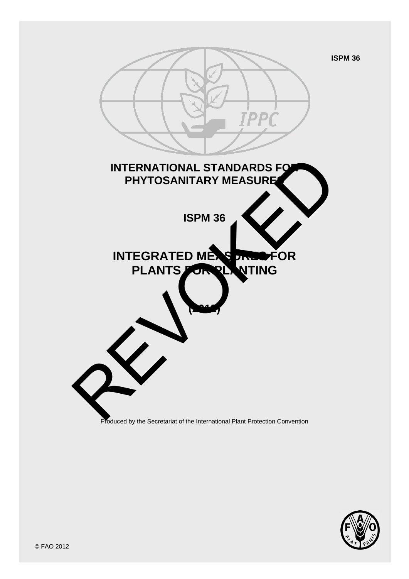

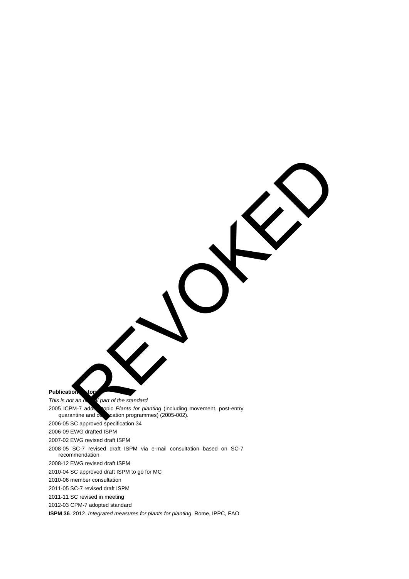**Publication story** *This is not an official part of the standard* 2005 ICPM-7 addesibility opic *Plants for planting* (including movement, post-entry quarantine and contraction programmes) (2005-002).  $q$ ication programmes) (2005-002). 2006-05 SC approved specification 34 2006-09 EWG drafted ISPM 2007-02 EWG revised draft ISPM 2008-05 SC-7 revised draft ISPM via e-mail consultation based on SC-7 recommendation 2008-12 EWG revised draft ISPM 2010-04 SC approved draft ISPM to go for MC 2010-06 member consultation 2011-05 SC-7 revised draft ISPM 2011-11 SC revised in meeting 2012-03 CPM-7 adopted standard **ISPM 36**. 2012. *Integrated measures for plants for planting*. Rome, IPPC, FAO. REVOK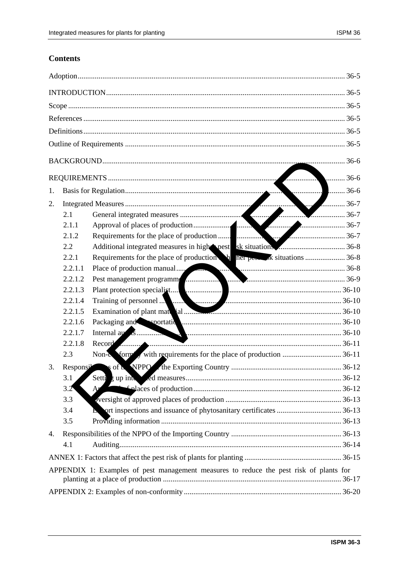## **Contents**

|                                                                                        |           | 36-6                                                                                                                                                                                                                           |  |  |  |
|----------------------------------------------------------------------------------------|-----------|--------------------------------------------------------------------------------------------------------------------------------------------------------------------------------------------------------------------------------|--|--|--|
| $\ldots$ 36-6<br><b>Sunday</b><br>1.                                                   |           |                                                                                                                                                                                                                                |  |  |  |
| 2.                                                                                     |           | $\frac{1}{2}$ 36-7                                                                                                                                                                                                             |  |  |  |
|                                                                                        | 2.1       |                                                                                                                                                                                                                                |  |  |  |
|                                                                                        | 2.1.1     |                                                                                                                                                                                                                                |  |  |  |
|                                                                                        | 2.1.2     |                                                                                                                                                                                                                                |  |  |  |
|                                                                                        | 2.2       |                                                                                                                                                                                                                                |  |  |  |
|                                                                                        | 2.2.1     |                                                                                                                                                                                                                                |  |  |  |
|                                                                                        | 2.2.1.1   | Place of production manual (2003) and (2003) and (2003) and (2003) and (36-8 Pest management programm                                                                                                                          |  |  |  |
|                                                                                        | 2.2.1.2   |                                                                                                                                                                                                                                |  |  |  |
|                                                                                        | 2.2.1.3   |                                                                                                                                                                                                                                |  |  |  |
|                                                                                        | 2.2.1.4   |                                                                                                                                                                                                                                |  |  |  |
|                                                                                        | 2.2.1.5   |                                                                                                                                                                                                                                |  |  |  |
|                                                                                        | 2.2.1.6   | Packaging and sportation and contact and contact and contact and contact and contact and contact and contact and contact and contact and contact and contact and contact and contact and contact and contact and contact and c |  |  |  |
|                                                                                        | 2.2.1.7   |                                                                                                                                                                                                                                |  |  |  |
|                                                                                        | 2.2.1.8   |                                                                                                                                                                                                                                |  |  |  |
|                                                                                        | 2.3       |                                                                                                                                                                                                                                |  |  |  |
| 3.                                                                                     | Responsil |                                                                                                                                                                                                                                |  |  |  |
|                                                                                        | 3.1       |                                                                                                                                                                                                                                |  |  |  |
|                                                                                        | 3.2       |                                                                                                                                                                                                                                |  |  |  |
|                                                                                        | 3.3       |                                                                                                                                                                                                                                |  |  |  |
|                                                                                        | 3.4       |                                                                                                                                                                                                                                |  |  |  |
|                                                                                        | 3.5       |                                                                                                                                                                                                                                |  |  |  |
| 4.                                                                                     |           |                                                                                                                                                                                                                                |  |  |  |
|                                                                                        | 4.1       |                                                                                                                                                                                                                                |  |  |  |
|                                                                                        |           |                                                                                                                                                                                                                                |  |  |  |
| APPENDIX 1: Examples of pest management measures to reduce the pest risk of plants for |           |                                                                                                                                                                                                                                |  |  |  |
|                                                                                        |           |                                                                                                                                                                                                                                |  |  |  |
|                                                                                        |           |                                                                                                                                                                                                                                |  |  |  |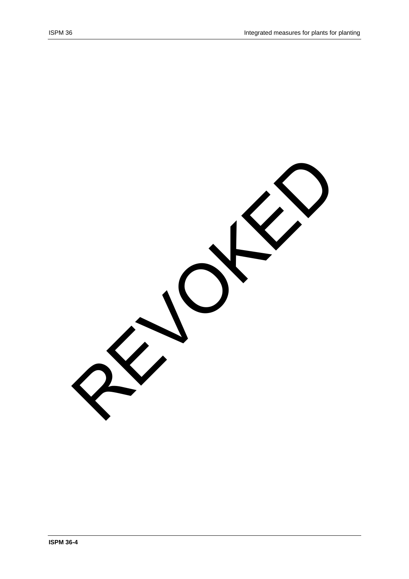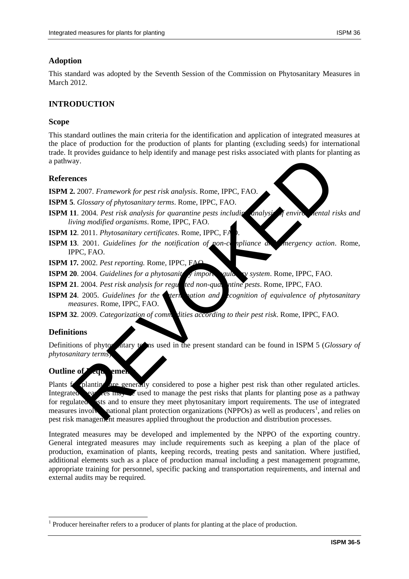### **Adoption**

This standard was adopted by the Seventh Session of the Commission on Phytosanitary Measures in March 2012.

### **INTRODUCTION**

### **Scope**

This standard outlines the main criteria for the identification and application of integrated measures at the place of production for the production of plants for planting (excluding seeds) for international trade. It provides guidance to help identify and manage pest risks associated with plants for planting as a pathway.

### **References**

**ISPM 2.** 2007. *Framework for pest risk analysis*. Rome, IPPC, FAO.

**ISPM 5**. *Glossary of phytosanitary terms*. Rome, IPPC, FAO.

**ISPM 11**. 2004. *Pest risk analysis for quarantine pests including analysige fenvironmental risks and living modified organisms*. Rome, IPPC, FAO.

**ISPM 12**. 2011. *Phytosanitary certificates*. Rome, IPPC, FA

**ISPM 13**. 2001. *Guidelines for the notification of non-compliance and mergency action.* Rome, IPPC, FAO.

**ISPM 17***.* 2002. *Pest reporting.* Rome, IPPC, FAO.

- **ISPM 20**. 2004. *Guidelines for a phytosanity symport guite vs system.* Rome, IPPC, FAO.
- **ISPM 21**. 2004. *Pest risk analysis for regulated non-quarantine pests.* Rome, IPPC, FAO.
- **ISPM 24.** 2005. *Guidelines for the termination and recognition of equivalence of phytosanitary measures*. Rome, IPPC, FAO.

**ISPM 32**. 2009. *Categorization of comm* dities according to their pest risk. Rome, IPPC, FAO.

### **Definitions**

1

Definitions of phytos attary to assume used in the present standard can be found in ISPM 5 (*Glossary of phytosanitary terms*).

### **Outline of**

Plants for planting are generally considered to pose a higher pest risk than other regulated articles. Integrated earliers may be used to manage the pest risks that plants for planting pose as a pathway for regulated sts and to ensure they meet phytosanitary import requirements. The use of integrated measures involves national plant protection organizations (NPPOs) as well as producers<sup>1</sup>, and relies on pest risk management measures applied throughout the production and distribution processes. Agricular and the press in the press in the production of the space of the space of the space of the space of the space of the space of the space of the space of the space of the space of the space of the space of the spac

Integrated measures may be developed and implemented by the NPPO of the exporting country. General integrated measures may include requirements such as keeping a plan of the place of production, examination of plants, keeping records, treating pests and sanitation. Where justified, additional elements such as a place of production manual including a pest management programme, appropriate training for personnel, specific packing and transportation requirements, and internal and external audits may be required.

 $<sup>1</sup>$  Producer hereinafter refers to a producer of plants for planting at the place of production.</sup>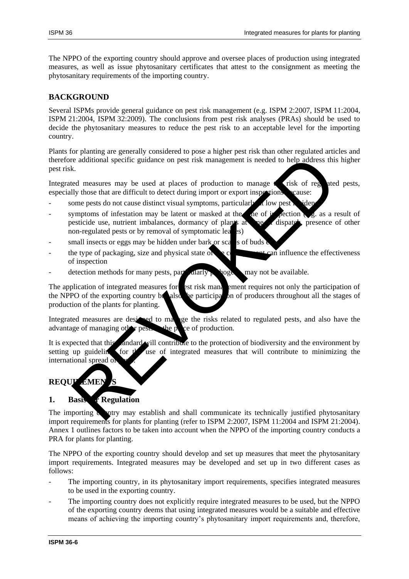The NPPO of the exporting country should approve and oversee places of production using integrated measures, as well as issue phytosanitary certificates that attest to the consignment as meeting the phytosanitary requirements of the importing country.

### **BACKGROUND**

Several ISPMs provide general guidance on pest risk management (e.g. ISPM 2:2007, ISPM 11:2004, ISPM 21:2004, ISPM 32:2009). The conclusions from pest risk analyses (PRAs) should be used to decide the phytosanitary measures to reduce the pest risk to an acceptable level for the importing country.

Plants for planting are generally considered to pose a higher pest risk than other regulated articles and therefore additional specific guidance on pest risk management is needed to help address this higher pest risk.

Integrated measures may be used at places of production to manage  $\epsilon$  risk of regulated pests, especially those that are difficult to detect during import or export inspections **because:** 

- some pests do not cause distinct visual symptoms, particularly  $\alpha$  low pest
- symptoms of infestation may be latent or masked at the time of inspection  $\mathbf{e}_i$  as a result of pesticide use, nutrient imbalances, dormancy of plants at the of dispatch, presence of other non-regulated pests or by removal of symptomatic lea response to the particle and the material communicate is rechnically justified phytoproperty and the material communicate the continent of the material control and space of material control and the material control of the
- small insects or eggs may be hidden under bark or scales of buds
- the type of packaging, size and physical state of  $\bullet$  consider the consideration influence the effectiveness of inspection
- detection methods for many pests, particularly pathogens, may not be available.

The application of integrated measures for est risk management requires not only the participation of the NPPO of the exporting country because participation of producers throughout all the stages of the NPPO of the exporting country but also the participation of producers throughout all the stages of production of the plants for planting.

Integrated measures are designed to manage the risks related to regulated pests, and also have the advantage of managing other pests when  $p$  ce of production.

It is expected that this andard will contribute to the protection of biodiversity and the environment by setting up guidelines for  $t$  use of integrated measures that will contribute to minimizing the international spread of

# **REQUIREMENT**

## 1. Basis **f** Regulation

The importing  $\alpha$  intry may establish and shall communicate its technically justified phytosanitary import requirements for plants for planting (refer to ISPM 2:2007, ISPM 11:2004 and ISPM 21:2004). Annex 1 outlines factors to be taken into account when the NPPO of the importing country conducts a PRA for plants for planting.

The NPPO of the exporting country should develop and set up measures that meet the phytosanitary import requirements. Integrated measures may be developed and set up in two different cases as follows:

- The importing country, in its phytosanitary import requirements, specifies integrated measures to be used in the exporting country.
- The importing country does not explicitly require integrated measures to be used, but the NPPO of the exporting country deems that using integrated measures would be a suitable and effective means of achieving the importing country's phytosanitary import requirements and, therefore,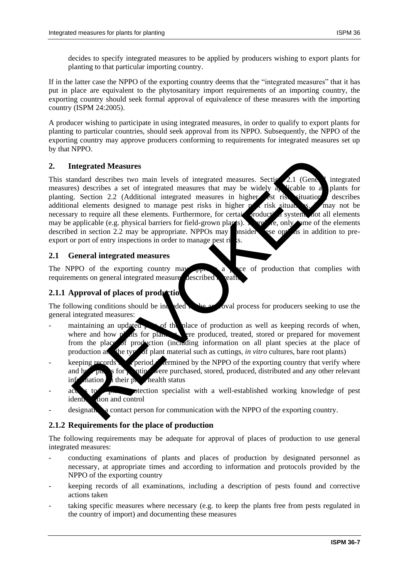If in the latter case the NPPO of the exporting country deems that the "integrated measures" that it has put in place are equivalent to the phytosanitary import requirements of an importing country, the exporting country should seek formal approval of equivalence of these measures with the importing country (ISPM 24:2005).

A producer wishing to participate in using integrated measures, in order to qualify to export plants for planting to particular countries, should seek approval from its NPPO. Subsequently, the NPPO of the exporting country may approve producers conforming to requirements for integrated measures set up by that NPPO.

### **2. Integrated Measures**

This standard describes two main levels of integrated measures. Section 2.1 (General integrated measures) describes a set of integrated measures that may be widely  $\frac{1}{4}$  licable to all plants for planting. Section 2.2 (Additional integrated measures in higher est risk situations) describes additional elements designed to manage pest risks in higher  $p \neq r$  risk situations. It may not be necessary to require all these elements. Furthermore, for certain production systems not all elements may be applicable (e.g. physical barriers for field-grown plants). Therefore, only some of the elements described in section 2.2 may be appropriate. NPPOs may positive section is in addition to predescribed in section 2.2 may be appropriate. NPPOs may posider see options in a section to 2.2 may be appropriate. NPPOs may posite export or port of entry inspections in order to manage pest risks. meter and how the state of integrated measures and the state of the state of the state of the state of the state and the state of the state of the state of the state of the state of the state of the state of the state of t

### **2.1 General integrated measures**

The NPPO of the exporting country may approve a place of production that complies with requirements on general integrated measures described heafter.

## **2.1.1 Approval of places of production**

The following conditions should be included in the approval process for producers seeking to use the general integrated measures:

- maintaining an updated  $\sim$  of the place of production as well as keeping records of when, where and how plants for planting were produced, treated, stored or prepared for movement from the place of production (including information on all plant species at the place of production and the type of plant material such as cuttings, *in vitro* cultures, bare root plants)
- $\alpha$  keeping records  $\alpha$  period determined by the NPPO of the exporting country that verify where and how plants for putting were purchased, stored, produced, distributed and any other relevant  $\inf$  and  $\inf$  their plant health status
- access to a perfection specialist with a well-established working knowledge of pest identification and control
- designation a contact person for communication with the NPPO of the exporting country.

## **2.1.2 Requirements for the place of production**

The following requirements may be adequate for approval of places of production to use general integrated measures:

- conducting examinations of plants and places of production by designated personnel as necessary, at appropriate times and according to information and protocols provided by the NPPO of the exporting country
- keeping records of all examinations, including a description of pests found and corrective actions taken
- taking specific measures where necessary (e.g. to keep the plants free from pests regulated in the country of import) and documenting these measures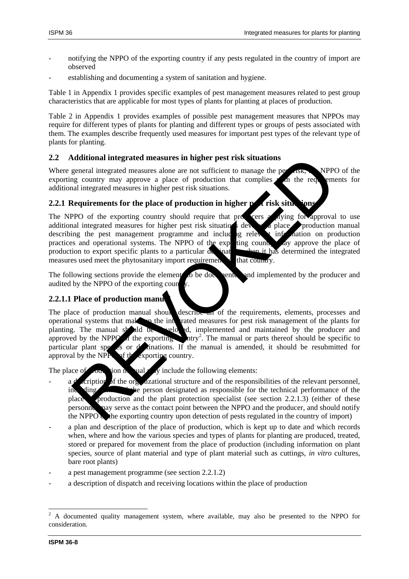- 
- notifying the NPPO of the exporting country if any pests regulated in the country of import are observed
- establishing and documenting a system of sanitation and hygiene.

Table 1 in Appendix 1 provides specific examples of pest management measures related to pest group characteristics that are applicable for most types of plants for planting at places of production.

Table 2 in Appendix 1 provides examples of possible pest management measures that NPPOs may require for different types of plants for planting and different types or groups of pests associated with them. The examples describe frequently used measures for important pest types of the relevant type of plants for planting.

## **2.2 Additional integrated measures in higher pest risk situations**

Where general integrated measures alone are not sufficient to manage the perturbation. NPPO of the exporting country may approve a place of production that complies  $x$  in the requirements for additional integrated measures in higher pest risk situations.

## **2.2.1 Requirements for the place of production in higher pest risk situation**

The NPPO of the exporting country should require that producers a striving for approval to use additional integrated measures for higher pest risk situations developed place production manual describing the pest management programme and including relevant information on production practices and operational systems. The NPPO of the exp ting country may approve the place of production to export specific plants to a particular designation when it has determined the integrated measures used meet the phytosanitary import requirement  $\overrightarrow{r}$  that country. detitional integrated measures in higher pest risk situations<br>general integrated measures and are not sufficient to manage the per-<br>general integrated measures and are not sufficient to manage the per-<br>per-<br>per-<br>per-<br>per-<br>

The following sections provide the element to be documents and implemented by the producer and audited by the NPPO of the exporting country.

## **2.2.1.1 Place of production manual**

The place of production manual should describe all of the requirements, elements, processes and operational systems that make up the integrated measures for pest risk management of the plants for plants for plants for plants in the manual should be well and maintained by the producer and ed, implemented and maintained by the producer and approved by the NPPO  $\pi$  the exporting htry<sup>2</sup>. The manual or parts thereof should be specific to particular plant species or declinations. If the manual is amended, it should be resubmitted for approval by the NPP $\bullet$  of the exporting country.

The place of pour tion in ual  $\sqrt{y}$  include the following elements:

- $a \cdot d'$  cription of the organizational structure and of the responsibilities of the relevant personnel, including the person designated as responsible for the technical performance of the place production and the plant protection specialist (see section  $2.2.1.3$ ) (either of these personnel may serve as the contact point between the NPPO and the producer, and should notify the NPPO  $\bullet$  the exporting country upon detection of pests regulated in the country of import)
- a plan and description of the place of production, which is kept up to date and which records when, where and how the various species and types of plants for planting are produced, treated, stored or prepared for movement from the place of production (including information on plant species, source of plant material and type of plant material such as cuttings, *in vitro* cultures, bare root plants)
- a pest management programme (see section 2.2.1.2)
- a description of dispatch and receiving locations within the place of production

1

<sup>2</sup> A documented quality management system, where available, may also be presented to the NPPO for consideration.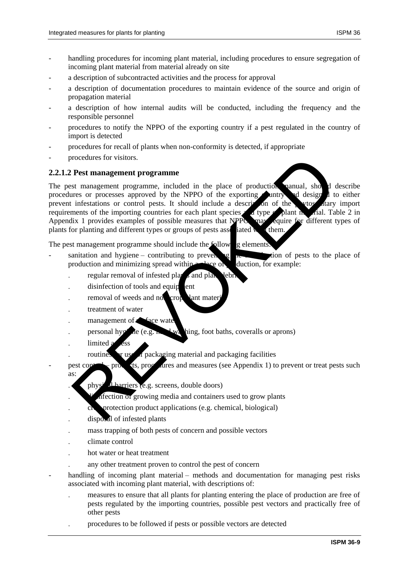- handling procedures for incoming plant material, including procedures to ensure segregation of incoming plant material from material already on site
- a description of subcontracted activities and the process for approval
- a description of documentation procedures to maintain evidence of the source and origin of propagation material
- a description of how internal audits will be conducted, including the frequency and the responsible personnel
- procedures to notify the NPPO of the exporting country if a pest regulated in the country of import is detected
- procedures for recall of plants when non-conformity is detected, if appropriate
- procedures for visitors.

#### **2.2.1.2 Pest management programme**

The pest management programme, included in the place of production manual, should describe procedures or processes approved by the NPPO of the exporting country and designed to either prevent infestations or control pests. It should include a description of the phytos dary import requirements of the importing countries for each plant species and type of plant material. Table 2 in Appendix 1 provides examples of possible measures that NPPOs may equire for different types of plants for planting and different types or groups of pests associated with them. rocedures for visitors.<br>
The management programme<br>
tres or processes approved by the NPPO of the exporting unitry of design<br>
tres or processes approved by the NPPO of the exporting unitry of design<br>
infestations or control

The pest management programme should include the following elements:

- sanitation and hygiene contributing to preventing the integration of pests to the place of production and minimizing spread within  $\triangle$  place of production, for example:
	- regular removal of infested plants and plants and plants are debrised by an operator of  $\frac{1}{2}$
	- $disification of tools and equip$
	- removal of weeds and non-crop lant mate
	- treatment of water
	- management of  $\triangle$  face water
	- personal hygine (e.g. h.  $\blacktriangle$  was hing, foot baths, coveralls or aprons)
	- limited a css
	- routines or use of packaging material and packaging facilities

pest control – products, procedures and measures (see Appendix 1) to prevent or treat pests such as:

- physical barriers (e.g. screens, double doors)
	- difection or growing media and containers used to grow plants
- crop protection product applications (e.g. chemical, biological)
- disposal of infested plants
- mass trapping of both pests of concern and possible vectors
- climate control
- hot water or heat treatment
- any other treatment proven to control the pest of concern
- handling of incoming plant material methods and documentation for managing pest risks associated with incoming plant material, with descriptions of:
	- measures to ensure that all plants for planting entering the place of production are free of pests regulated by the importing countries, possible pest vectors and practically free of other pests
	- procedures to be followed if pests or possible vectors are detected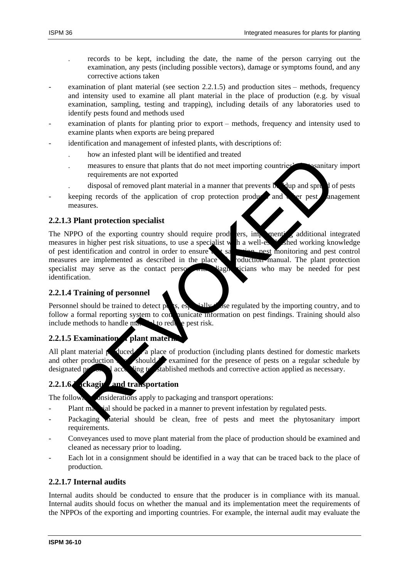- records to be kept, including the date, the name of the person carrying out the examination, any pests (including possible vectors), damage or symptoms found, and any corrective actions taken
- examination of plant material (see section 2.2.1.5) and production sites methods, frequency and intensity used to examine all plant material in the place of production (e.g. by visual examination, sampling, testing and trapping), including details of any laboratories used to identify pests found and methods used
- examination of plants for planting prior to export methods, frequency and intensity used to examine plants when exports are being prepared
	- identification and management of infested plants, with descriptions of:
		- how an infested plant will be identified and treated
		- measures to ensure that plants that do not meet importing countries' physicanitary import requirements are not exported
		- disposal of removed plant material in a manner that prevents  $\mathbf{\hat{b}}$  dup and spread of pests
- keeping records of the application of crop protection products and other pest anagement measures.

### **2.2.1.3 Plant protection specialist**

The NPPO of the exporting country should require producers, implementing additional integrated measures in higher pest risk situations, to use a specialist with a well-established working knowledge of pest identification and control in order to ensure of pest identification and control in order to ensure  $\mathbf{r}$  is measures are implemented as described in the place  $\bullet$  production manual. The plant protection specialist may serve as the contact person with diagnosticians who may be needed for pest identification. The anti-matter of the experimental and transport of the presence of pest on a regular contact and the control of the content of the anti-matter of the application of crop protection production and sprequently and sprequen

### **2.2.1.4 Training of personnel**

Personnel should be trained to detect pests, especially the expectated by the importing country, and to follow a formal reporting system to conquire information on pest findings. Training should also include methods to handle may be to reduce pest risk.

## **2.2.1.5 Examination** plant matern

All plant material  $\beta$  duced  $\alpha$  a place of production (including plants destined for domestic markets and other production should  $\blacktriangleright$  examined for the presence of pests on a regular schedule by designated person according to established methods and corrective action applied as necessary.

# **2.2.1.6 eckaging and transportation**

The following considerations apply to packaging and transport operations:

- Plant material should be packed in a manner to prevent infestation by regulated pests.
- Packaging material should be clean, free of pests and meet the phytosanitary import requirements.
- Conveyances used to move plant material from the place of production should be examined and cleaned as necessary prior to loading.
- Each lot in a consignment should be identified in a way that can be traced back to the place of production.

### **2.2.1.7 Internal audits**

Internal audits should be conducted to ensure that the producer is in compliance with its manual. Internal audits should focus on whether the manual and its implementation meet the requirements of the NPPOs of the exporting and importing countries. For example, the internal audit may evaluate the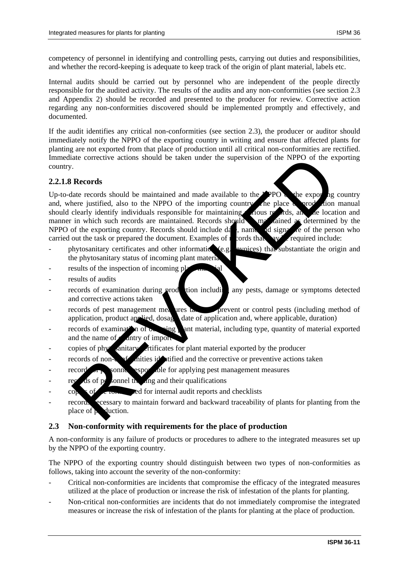competency of personnel in identifying and controlling pests, carrying out duties and responsibilities, and whether the record-keeping is adequate to keep track of the origin of plant material, labels etc.

Internal audits should be carried out by personnel who are independent of the people directly responsible for the audited activity. The results of the audits and any non-conformities (see section 2.3 and Appendix 2) should be recorded and presented to the producer for review. Corrective action regarding any non-conformities discovered should be implemented promptly and effectively, and documented.

If the audit identifies any critical non-conformities (see section 2.3), the producer or auditor should immediately notify the NPPO of the exporting country in writing and ensure that affected plants for planting are not exported from that place of production until all critical non-conformities are rectified. Immediate corrective actions should be taken under the supervision of the NPPO of the exporting country.

### **2.2.1.8 Records**

Up-to-date records should be maintained and made available to the NPPO  $\alpha$  the exporting country and, where justified, also to the NPPO of the importing country. The place  $\alpha$  production manual should clearly identify individuals responsible for maintaining various records, and the location and manner in which such records are maintained. Records should be maintained as determined by the NPPO of the exporting country. Records should include date, name and signature of the person who carried out the task or prepared the document. Examples of  $r$  cords that and  $\frac{1}{2}$  required include: ate corrective actions should be taken under the supervision of the NPPO of the experimental at the correct should be maintained and made available to the  $\frac{1}{2}$ PDO. The exportion are justified, also to the NPPO of the

- phytosanitary certificates and other information (e.g. invoices) that substantiate the origin and the phytosanitary status of incoming plant material
- results of the inspection of incoming pl
- results of audits
- records of examination during production including any pests, damage or symptoms detected and corrective actions taken
- records of pest management measures takes prevent or control pests (including method of application, product applied, dosage, date of application and, where applicable, duration)
- records of examination of  $\infty$  sing and material, including type, quantity of material exported and the name of  $\epsilon$  antry of import
- copies of phytosanitary criticates for plant material exported by the producer
- $\text{recodes of non-}\epsilon$  of non-conformities identified and the corrective or preventive actions taken
- records of personnel responsible for applying pest management measures
- records of personnel training and their qualifications
- $\cos \theta$  is of the form and formal audit reports and checklists
- records secessary to maintain forward and backward traceability of plants for planting from the place of **p** duction.

### **2.3 Non-conformity with requirements for the place of production**

A non-conformity is any failure of products or procedures to adhere to the integrated measures set up by the NPPO of the exporting country.

The NPPO of the exporting country should distinguish between two types of non-conformities as follows, taking into account the severity of the non-conformity:

- Critical non-conformities are incidents that compromise the efficacy of the integrated measures utilized at the place of production or increase the risk of infestation of the plants for planting.
- Non-critical non-conformities are incidents that do not immediately compromise the integrated measures or increase the risk of infestation of the plants for planting at the place of production.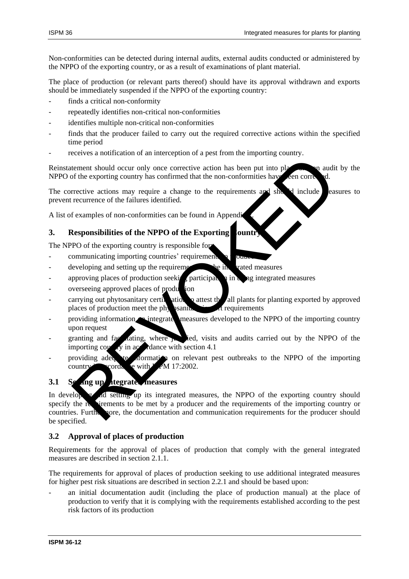Non-conformities can be detected during internal audits, external audits conducted or administered by the NPPO of the exporting country, or as a result of examinations of plant material.

The place of production (or relevant parts thereof) should have its approval withdrawn and exports should be immediately suspended if the NPPO of the exporting country:

- finds a critical non-conformity
- repeatedly identifies non-critical non-conformities
- identifies multiple non-critical non-conformities
- finds that the producer failed to carry out the required corrective actions within the specified time period
- receives a notification of an interception of a pest from the importing country.

Reinstatement should occur only once corrective action has been put into place and an audit by the NPPO of the exporting country has confirmed that the non-conformities have been corre

The corrective actions may require a change to the requirements and should include easures to prevent recurrence of the failures identified.

A list of examples of non-conformities can be found in Appendix

## **3.** Responsibilities of the NPPO of the Exporting ountry

The NPPO of the exporting country is responsible for:

- communicating importing countries' requirement
- $\frac{1}{2}$  developing and setting up the requirements the integrated measures
- approving places of production seeking participation in using integrated measures
- overseeing approved places of production
- carrying out phytosanitary certification to attest the all plants for planting exported by approved places of production meet the physanitary in requirements
- providing information integrated measures developed to the NPPO of the importing country upon request
- granting and facilitating, where  $\mu$  ied, visits and audits carried out by the NPPO of the importing country in accordance with section 4.1
- providing adequate information on relevant pest outbreaks to the NPPO of the importing country  $\sim$  cordance with ISPM 17:2002.

## **3.1 Setting up the integrated measures**

In developing and setting up its integrated measures, the NPPO of the exporting country should specify the requirements to be met by a producer and the requirements of the importing country or countries. Furthermore, the documentation and communication requirements for the producer should be specified. Exercise absorber of the results of the results and the relation of the experiment should occur only once corrected action has been put into place<br>rective actions may require a change to the requirements and she rective ac

### **3.2 Approval of places of production**

Requirements for the approval of places of production that comply with the general integrated measures are described in section 2.1.1.

The requirements for approval of places of production seeking to use additional integrated measures for higher pest risk situations are described in section 2.2.1 and should be based upon:

an initial documentation audit (including the place of production manual) at the place of production to verify that it is complying with the requirements established according to the pest risk factors of its production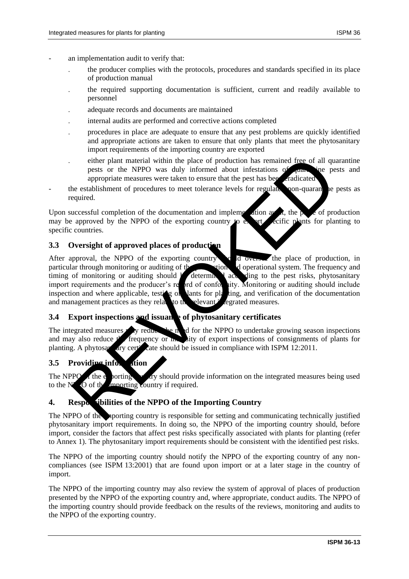- an implementation audit to verify that:
	- the producer complies with the protocols, procedures and standards specified in its place of production manual
	- the required supporting documentation is sufficient, current and readily available to personnel
	- adequate records and documents are maintained
	- internal audits are performed and corrective actions completed
	- procedures in place are adequate to ensure that any pest problems are quickly identified and appropriate actions are taken to ensure that only plants that meet the phytosanitary import requirements of the importing country are exported
	- either plant material within the place of production has remained free of all quarantine pests or the NPPO was duly informed about infestations of quarantine pests and appropriate measures were taken to ensure that the pest has been cradicated
- the establishment of procedures to meet tolerance levels for regulated non-quarantelevels as required.

Upon successful completion of the documentation and implementation  $\frac{d}{dx}$ , the place of production may be approved by the NPPO of the exporting country to export secific plants for planting to specific countries.

### **3.3 Oversight of approved places of production**

After approval, the NPPO of the exporting country showled oversee the place of production, in particular through monitoring or auditing of the production and operational system. The frequency and timing of monitoring or auditing should  $\ell$  determined according to the pest risks, phytosanitary import requirements and the producer's report of conformity. Monitoring or auditing should include inspection and where applicable, testing of lants for planting, and verification of the documentation and management practices as they related to the relevant integrated measures. either plant material within the place of production has remained free of all que<br>poss or the NPPO of was duly informed about infestations of material<br>appropriate measures were taken to ensure that the pest has been dictat

### **3.4 Export inspections and issuance of phytosanitary certificates**

The integrated measures  $\mathbf{r}$  is reduce the need for the NPPO to undertake growing season inspections and may also reduce  $f'$  frequency or  $\ln$ , sity of export inspections of consignments of plants for planting. A phytosay ary certificate should be issued in compliance with ISPM 12:2011.

### **3.5 Providing information**

The NPPO  $\alpha$  the exporting country should provide information on the integrated measures being used to the  $N$ PO of the importing country if required.

### 4. Responsibilities of the NPPO of the Importing Country

The NPPO of the supporting country is responsible for setting and communicating technically justified phytosanitary import requirements. In doing so, the NPPO of the importing country should, before import, consider the factors that affect pest risks specifically associated with plants for planting (refer to Annex 1). The phytosanitary import requirements should be consistent with the identified pest risks.

The NPPO of the importing country should notify the NPPO of the exporting country of any noncompliances (see ISPM 13:2001) that are found upon import or at a later stage in the country of import.

The NPPO of the importing country may also review the system of approval of places of production presented by the NPPO of the exporting country and, where appropriate, conduct audits. The NPPO of the importing country should provide feedback on the results of the reviews, monitoring and audits to the NPPO of the exporting country.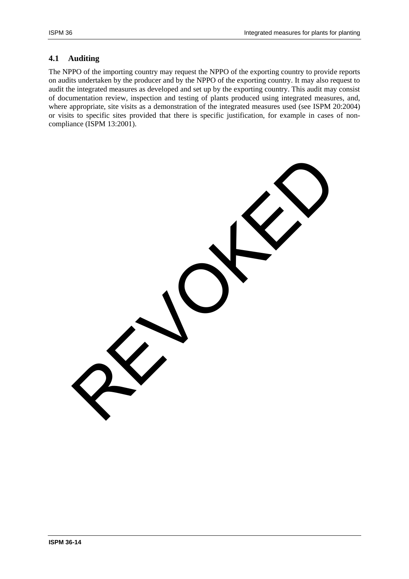### **4.1 Auditing**

The NPPO of the importing country may request the NPPO of the exporting country to provide reports on audits undertaken by the producer and by the NPPO of the exporting country. It may also request to audit the integrated measures as developed and set up by the exporting country. This audit may consist of documentation review, inspection and testing of plants produced using integrated measures, and, where appropriate, site visits as a demonstration of the integrated measures used (see ISPM 20:2004) or visits to specific sites provided that there is specific justification, for example in cases of noncompliance (ISPM 13:2001).

REVOKED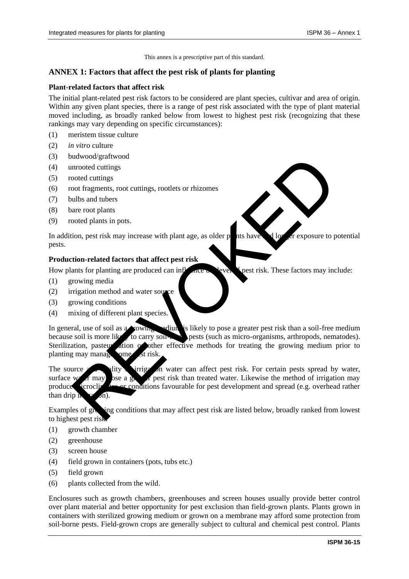This annex is a prescriptive part of this standard.

#### **ANNEX 1: Factors that affect the pest risk of plants for planting**

#### **Plant-related factors that affect risk**

The initial plant-related pest risk factors to be considered are plant species, cultivar and area of origin. Within any given plant species, there is a range of pest risk associated with the type of plant material moved including, as broadly ranked below from lowest to highest pest risk (recognizing that these rankings may vary depending on specific circumstances):

- (1) meristem tissue culture
- (2) *in vitro* culture
- (3) budwood/graftwood
- (4) unrooted cuttings
- (5) rooted cuttings
- (6) root fragments, root cuttings, rootlets or rhizomes
- (7) bulbs and tubers
- (8) bare root plants
- (9) rooted plants in pots.

In addition, pest risk may increase with plant age, as older plants have  $\Box$  longer exposure to potential pests.

#### **Production-related factors that affect pest risk**

How plants for planting are produced can influence the level of pest risk. These factors may include:

- (1) growing media
- (2) irrigation method and water source
- (3) growing conditions
- (4) mixing of different plant species.

In general, use of soil as a growing edium is likely to pose a greater pest risk than a soil-free medium because soil is more likely to carry soil-borne pests (such as micro-organisms, arthropods, nematodes). Sterilization, pasteur ation of other effective methods for treating the growing medium prior to planting may manage ome st risk. diativood<br>coolectrolitings<br>coolectrolitings<br>coolectrolitings<br>coolectrolitings<br>coolectrolitings<br>coolectrolitings<br>coolectrolitings.<br>record plants<br>in prots.<br>coolectroliting are produced can interest and the plant age, as olde

The source and quality of irrigation water can affect pest risk. For certain pests spread by water, surface w<sub>at</sub> may bse a greater risk than treated water. Likewise the method of irrigation may produce stereoly are conditions favourable for pest development and spread (e.g. overhead rather than drip in  $\mathbb{Z}^2$  on).

Examples of growing conditions that may affect pest risk are listed below, broadly ranked from lowest to highest pest risk:

- (1) growth chamber
- (2) greenhouse
- (3) screen house
- (4) field grown in containers (pots, tubs etc.)
- (5) field grown
- (6) plants collected from the wild.

Enclosures such as growth chambers, greenhouses and screen houses usually provide better control over plant material and better opportunity for pest exclusion than field-grown plants. Plants grown in containers with sterilized growing medium or grown on a membrane may afford some protection from soil-borne pests. Field-grown crops are generally subject to cultural and chemical pest control. Plants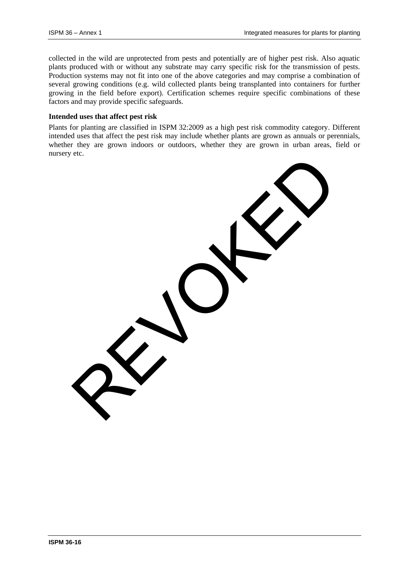collected in the wild are unprotected from pests and potentially are of higher pest risk. Also aquatic plants produced with or without any substrate may carry specific risk for the transmission of pests. Production systems may not fit into one of the above categories and may comprise a combination of several growing conditions (e.g. wild collected plants being transplanted into containers for further growing in the field before export). Certification schemes require specific combinations of these factors and may provide specific safeguards.

#### **Intended uses that affect pest risk**

Plants for planting are classified in ISPM 32:2009 as a high pest risk commodity category. Different intended uses that affect the pest risk may include whether plants are grown as annuals or perennials, whether they are grown indoors or outdoors, whether they are grown in urban areas, field or nursery etc.

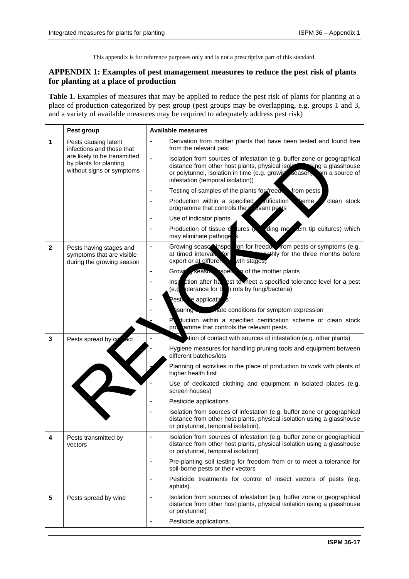This appendix is for reference purposes only and is not a prescriptive part of this standard.

### **APPENDIX 1: Examples of pest management measures to reduce the pest risk of plants for planting at a place of production**

**Table 1.** Examples of measures that may be applied to reduce the pest risk of plants for planting at a place of production categorized by pest group (pest groups may be overlapping, e.g. groups 1 and 3, and a variety of available measures may be required to adequately address pest risk)

|                                                                                                                               | Pest group                                                                                                                               | <b>Available measures</b>                                                                                                                                                                                                                                                      |  |  |
|-------------------------------------------------------------------------------------------------------------------------------|------------------------------------------------------------------------------------------------------------------------------------------|--------------------------------------------------------------------------------------------------------------------------------------------------------------------------------------------------------------------------------------------------------------------------------|--|--|
| 1                                                                                                                             | Pests causing latent<br>infections and those that<br>are likely to be transmitted<br>by plants for planting<br>without signs or symptoms | Derivation from mother plants that have been tested and found free<br>from the relevant pest                                                                                                                                                                                   |  |  |
|                                                                                                                               |                                                                                                                                          | Isolation from sources of infestation (e.g. buffer zone or geographical<br>$\frac{1}{2}$<br>distance from other host plants, physical isolecomoning a glasshouse<br>or polytunnel, isolation in time (e.g. growing season, om a source of<br>infestation (temporal isolation)) |  |  |
|                                                                                                                               |                                                                                                                                          | Testing of samples of the plants for freed from pests                                                                                                                                                                                                                          |  |  |
|                                                                                                                               |                                                                                                                                          | <i><b>Atification</b></i><br>Production within a specified<br>heme ⊿<br>clean stock<br>programme that controls the<br>evant pests                                                                                                                                              |  |  |
|                                                                                                                               |                                                                                                                                          | Use of indicator plants                                                                                                                                                                                                                                                        |  |  |
|                                                                                                                               |                                                                                                                                          | ding me em tip cultures) which<br>Production of tissue d<br>tures $\Lambda$<br>may eliminate pathoge                                                                                                                                                                           |  |  |
| $\mathbf{2}$<br>$\overline{\phantom{a}}$<br>Pests having stages and<br>symptoms that are visible<br>during the growing season |                                                                                                                                          | Growing seaso inspection for freedom from pests or symptoms (e.g.<br>papthly for the three months before<br>at timed interval for<br>export or at different<br>wth stages                                                                                                      |  |  |
|                                                                                                                               |                                                                                                                                          | Grow season specing of the mother plants                                                                                                                                                                                                                                       |  |  |
|                                                                                                                               |                                                                                                                                          | Instantian after haddest to meet a specified tolerance level for a pest (e.g. olerance for b $\frac{1}{2}$ prots by fungi/bacteria)                                                                                                                                            |  |  |
|                                                                                                                               |                                                                                                                                          | Pesticule application                                                                                                                                                                                                                                                          |  |  |
|                                                                                                                               |                                                                                                                                          | suring and a conditions for symptom expression                                                                                                                                                                                                                                 |  |  |
|                                                                                                                               |                                                                                                                                          | Pl duction within a specified certification scheme or clean stock<br>proviamme that controls the relevant pests.                                                                                                                                                               |  |  |
| 3                                                                                                                             | Pests spread by co<br>act                                                                                                                | tion of contact with sources of infestation (e.g. other plants)                                                                                                                                                                                                                |  |  |
|                                                                                                                               |                                                                                                                                          | Hygiene measures for handling pruning tools and equipment between<br>different batches/lots                                                                                                                                                                                    |  |  |
|                                                                                                                               |                                                                                                                                          | Planning of activities in the place of production to work with plants of<br>higher health first                                                                                                                                                                                |  |  |
|                                                                                                                               |                                                                                                                                          | Use of dedicated clothing and equipment in isolated places (e.g.<br>screen houses)                                                                                                                                                                                             |  |  |
|                                                                                                                               |                                                                                                                                          | Pesticide applications                                                                                                                                                                                                                                                         |  |  |
|                                                                                                                               |                                                                                                                                          | Isolation from sources of infestation (e.g. buffer zone or geographical<br>distance from other host plants, physical isolation using a glasshouse<br>or polytunnel, temporal isolation).                                                                                       |  |  |
| 4                                                                                                                             | Pests transmitted by<br>vectors                                                                                                          | Isolation from sources of infestation (e.g. buffer zone or geographical<br>distance from other host plants, physical isolation using a glasshouse<br>or polytunnel, temporal isolation)                                                                                        |  |  |
|                                                                                                                               |                                                                                                                                          | Pre-planting soil testing for freedom from or to meet a tolerance for<br>soil-borne pests or their vectors                                                                                                                                                                     |  |  |
|                                                                                                                               |                                                                                                                                          | Pesticide treatments for control of insect vectors of pests (e.g.<br>aphids).                                                                                                                                                                                                  |  |  |
| $5\phantom{.0}$                                                                                                               | Pests spread by wind                                                                                                                     | Isolation from sources of infestation (e.g. buffer zone or geographical<br>distance from other host plants, physical isolation using a glasshouse<br>or polytunnel)                                                                                                            |  |  |
|                                                                                                                               |                                                                                                                                          | Pesticide applications.                                                                                                                                                                                                                                                        |  |  |
|                                                                                                                               |                                                                                                                                          |                                                                                                                                                                                                                                                                                |  |  |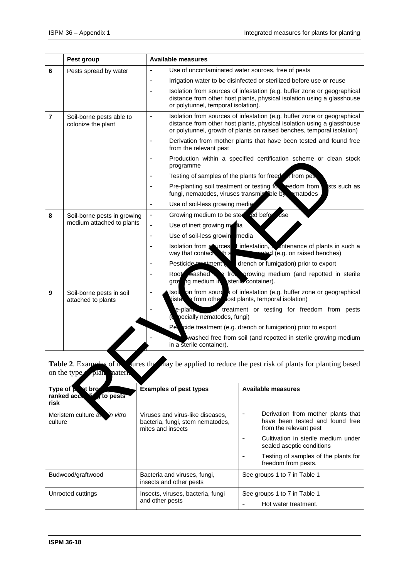|                                                                                                              | Pest group                                                                                | <b>Available measures</b>                                              |                                                                                                                                                                                                                             |  |  |  |
|--------------------------------------------------------------------------------------------------------------|-------------------------------------------------------------------------------------------|------------------------------------------------------------------------|-----------------------------------------------------------------------------------------------------------------------------------------------------------------------------------------------------------------------------|--|--|--|
| 6                                                                                                            | Pests spread by water                                                                     |                                                                        | Use of uncontaminated water sources, free of pests                                                                                                                                                                          |  |  |  |
|                                                                                                              |                                                                                           |                                                                        | Irrigation water to be disinfected or sterilized before use or reuse                                                                                                                                                        |  |  |  |
|                                                                                                              |                                                                                           | or polytunnel, temporal isolation).                                    | Isolation from sources of infestation (e.g. buffer zone or geographical<br>distance from other host plants, physical isolation using a glasshouse                                                                           |  |  |  |
| $\overline{7}$                                                                                               | Soil-borne pests able to<br>colonize the plant                                            | $\overline{\phantom{a}}$                                               | Isolation from sources of infestation (e.g. buffer zone or geographical<br>distance from other host plants, physical isolation using a glasshouse<br>or polytunnel, growth of plants on raised benches, temporal isolation) |  |  |  |
|                                                                                                              |                                                                                           | from the relevant pest                                                 | Derivation from mother plants that have been tested and found free                                                                                                                                                          |  |  |  |
|                                                                                                              |                                                                                           | programme                                                              | Production within a specified certification scheme or clean stock                                                                                                                                                           |  |  |  |
|                                                                                                              |                                                                                           |                                                                        | Testing of samples of the plants for freed of from pes                                                                                                                                                                      |  |  |  |
|                                                                                                              |                                                                                           | fungi, nematodes, viruses transmiscible by                             | Pre-planting soil treatment or testing for reedom from<br>sts such as<br>ematodes                                                                                                                                           |  |  |  |
|                                                                                                              |                                                                                           | Use of soil-less growing media                                         |                                                                                                                                                                                                                             |  |  |  |
| 8                                                                                                            | Soil-borne pests in growing<br>medium attached to plants                                  | Growing medium to be ster<br>$\qquad \qquad \blacksquare$              | ed befor<br>dse                                                                                                                                                                                                             |  |  |  |
|                                                                                                              |                                                                                           | Use of inert growing metria<br>$\overline{\phantom{0}}$                |                                                                                                                                                                                                                             |  |  |  |
|                                                                                                              |                                                                                           | Use of soil-less growin media<br>$\overline{\phantom{a}}$              |                                                                                                                                                                                                                             |  |  |  |
|                                                                                                              |                                                                                           | way that contact this                                                  | Isolation from sources f infestation, intenance of plants in such a<br>ented (e.g. on raised benches)                                                                                                                       |  |  |  |
|                                                                                                              |                                                                                           | Pesticide treetment                                                    | drench or fumigation) prior to export                                                                                                                                                                                       |  |  |  |
|                                                                                                              |                                                                                           | Root washed<br>groy ng medium in                                       | from growing medium (and repotted in sterile<br>sterile container).                                                                                                                                                         |  |  |  |
| 9<br>Soil-borne pests in soil<br>distal of from other lost plants, temporal isolation)<br>attached to plants |                                                                                           | Isole on from sources of infestation (e.g. buffer zone or geographical |                                                                                                                                                                                                                             |  |  |  |
|                                                                                                              |                                                                                           | e-plan.<br>pecially nematodes, fungi)                                  | treatment or testing for freedom from pests                                                                                                                                                                                 |  |  |  |
|                                                                                                              |                                                                                           |                                                                        | Pet cide treatment (e.g. drench or fumigation) prior to export                                                                                                                                                              |  |  |  |
|                                                                                                              |                                                                                           | in a sterile container).                                               | washed free from soil (and repotted in sterile growing medium                                                                                                                                                               |  |  |  |
|                                                                                                              | <b>Table 2.</b> Examples of in<br>sures the local popularity of plants for planting based |                                                                        |                                                                                                                                                                                                                             |  |  |  |
|                                                                                                              | on the type<br>plan natern                                                                |                                                                        |                                                                                                                                                                                                                             |  |  |  |
| Type of <b>b</b> at bro<br>ranked accu<br>of to pests<br>risk                                                |                                                                                           | <b>Examples of pest types</b>                                          | <b>Available measures</b>                                                                                                                                                                                                   |  |  |  |
| Meristem culture a<br>in vitro                                                                               |                                                                                           | Viruses and virus-like diseases,                                       | Derivation from mother plants that<br>$\overline{a}$<br>a hoos tootad and found from                                                                                                                                        |  |  |  |

| Type of <b>b</b> at bro<br>ranked accessing<br>to pests<br>risk | <b>Examples of pest types</b>                                                             | <b>Available measures</b>                                                                                                   |
|-----------------------------------------------------------------|-------------------------------------------------------------------------------------------|-----------------------------------------------------------------------------------------------------------------------------|
| Meristem culture an<br>in vitro<br>culture                      | Viruses and virus-like diseases,<br>bacteria, fungi, stem nematodes,<br>mites and insects | Derivation from mother plants that<br>$\overline{\phantom{a}}$<br>have been tested and found free<br>from the relevant pest |
|                                                                 |                                                                                           | Cultivation in sterile medium under<br>$\overline{\phantom{0}}$<br>sealed aseptic conditions                                |
|                                                                 |                                                                                           | Testing of samples of the plants for<br>$\overline{\phantom{a}}$<br>freedom from pests.                                     |
| Budwood/graftwood                                               | Bacteria and viruses, fungi,<br>insects and other pests                                   | See groups 1 to 7 in Table 1                                                                                                |
| Unrooted cuttings                                               | Insects, viruses, bacteria, fungi<br>and other pests                                      | See groups 1 to 7 in Table 1<br>Hot water treatment.<br>۰                                                                   |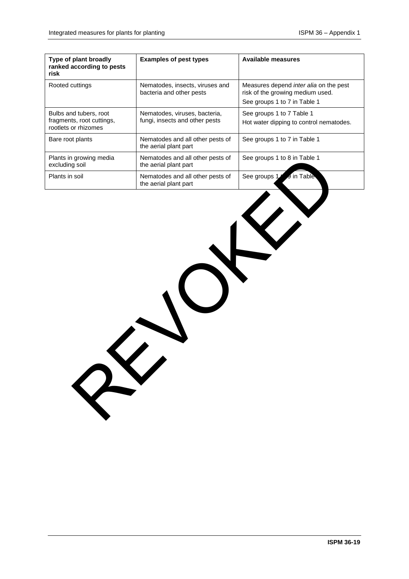| Type of plant broadly<br>ranked according to pests<br>risk                  | <b>Examples of pest types</b>                                   | <b>Available measures</b>                                                  |  |  |  |  |
|-----------------------------------------------------------------------------|-----------------------------------------------------------------|----------------------------------------------------------------------------|--|--|--|--|
| Rooted cuttings                                                             | Nematodes, insects, viruses and<br>bacteria and other pests     | Measures depend inter alia on the pest<br>risk of the growing medium used. |  |  |  |  |
|                                                                             |                                                                 | See groups 1 to 7 in Table 1                                               |  |  |  |  |
| Bulbs and tubers, root<br>fragments, root cuttings,<br>rootlets or rhizomes | Nematodes, viruses, bacteria,<br>fungi, insects and other pests | See groups 1 to 7 Table 1<br>Hot water dipping to control nematodes.       |  |  |  |  |
| Bare root plants                                                            | Nematodes and all other pests of<br>the aerial plant part       | See groups 1 to 7 in Table 1                                               |  |  |  |  |
| Plants in growing media<br>excluding soil                                   | Nematodes and all other pests of<br>the aerial plant part       | See groups 1 to 8 in Table 1                                               |  |  |  |  |
| Plants in soil                                                              | Nematodes and all other pests of<br>the aerial plant part       | See groups 1<br>J in Table                                                 |  |  |  |  |
| RY                                                                          |                                                                 |                                                                            |  |  |  |  |